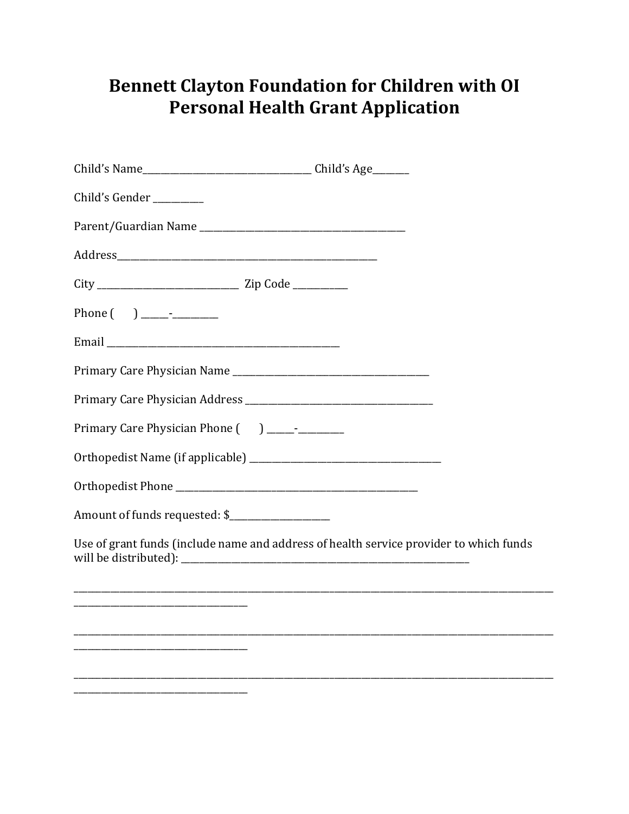## **Bennett Clayton Foundation for Children with OI** Personal Health Grant Application

| Child's Gender ________                     |                                                                                        |
|---------------------------------------------|----------------------------------------------------------------------------------------|
|                                             |                                                                                        |
|                                             |                                                                                        |
|                                             |                                                                                        |
|                                             |                                                                                        |
|                                             |                                                                                        |
|                                             |                                                                                        |
|                                             |                                                                                        |
| Primary Care Physician Phone () ___________ |                                                                                        |
|                                             |                                                                                        |
|                                             |                                                                                        |
| Amount of funds requested: \$               |                                                                                        |
|                                             | Use of grant funds (include name and address of health service provider to which funds |
|                                             |                                                                                        |
|                                             |                                                                                        |
|                                             |                                                                                        |
|                                             |                                                                                        |
|                                             |                                                                                        |